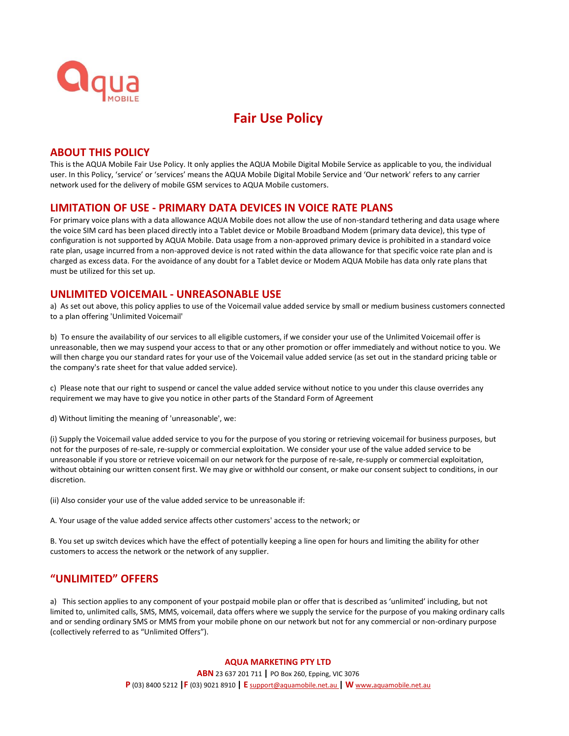

# **Fair Use Policy**

## **ABOUT THIS POLICY**

This is the AQUA Mobile Fair Use Policy. It only applies the AQUA Mobile Digital Mobile Service as applicable to you, the individual user. In this Policy, 'service' or 'services' means the AQUA Mobile Digital Mobile Service and 'Our network' refers to any carrier network used for the delivery of mobile GSM services to AQUA Mobile customers.

### **LIMITATION OF USE - PRIMARY DATA DEVICES IN VOICE RATE PLANS**

For primary voice plans with a data allowance AQUA Mobile does not allow the use of non-standard tethering and data usage where the voice SIM card has been placed directly into a Tablet device or Mobile Broadband Modem (primary data device), this type of configuration is not supported by AQUA Mobile. Data usage from a non-approved primary device is prohibited in a standard voice rate plan, usage incurred from a non-approved device is not rated within the data allowance for that specific voice rate plan and is charged as excess data. For the avoidance of any doubt for a Tablet device or Modem AQUA Mobile has data only rate plans that must be utilized for this set up.

## **UNLIMITED VOICEMAIL - UNREASONABLE USE**

a) As set out above, this policy applies to use of the Voicemail value added service by small or medium business customers connected to a plan offering 'Unlimited Voicemail'

b) To ensure the availability of our services to all eligible customers, if we consider your use of the Unlimited Voicemail offer is unreasonable, then we may suspend your access to that or any other promotion or offer immediately and without notice to you. We will then charge you our standard rates for your use of the Voicemail value added service (as set out in the standard pricing table or the company's rate sheet for that value added service).

c) Please note that our right to suspend or cancel the value added service without notice to you under this clause overrides any requirement we may have to give you notice in other parts of the Standard Form of Agreement

d) Without limiting the meaning of 'unreasonable', we:

(i) Supply the Voicemail value added service to you for the purpose of you storing or retrieving voicemail for business purposes, but not for the purposes of re-sale, re-supply or commercial exploitation. We consider your use of the value added service to be unreasonable if you store or retrieve voicemail on our network for the purpose of re-sale, re-supply or commercial exploitation, without obtaining our written consent first. We may give or withhold our consent, or make our consent subject to conditions, in our discretion.

(ii) Also consider your use of the value added service to be unreasonable if:

A. Your usage of the value added service affects other customers' access to the network; or

B. You set up switch devices which have the effect of potentially keeping a line open for hours and limiting the ability for other customers to access the network or the network of any supplier.

# **"UNLIMITED" OFFERS**

a) This section applies to any component of your postpaid mobile plan or offer that is described as 'unlimited' including, but not limited to, unlimited calls, SMS, MMS, voicemail, data offers where we supply the service for the purpose of you making ordinary calls and or sending ordinary SMS or MMS from your mobile phone on our network but not for any commercial or non-ordinary purpose (collectively referred to as "Unlimited Offers").

#### **AQUA MARKETING PTY LTD**

**ABN** 23 637 201 711 **|** PO Box 260, Epping, VIC 3076 **P** (03) 8400 5212 **|F** (03) 9021 8910 **| E** [support@aquamobile.net.au](mailto:support@aquamobile.net.au) **| W** www**.**[aquamobile.net.au](http://www.aquamobile.net.au/)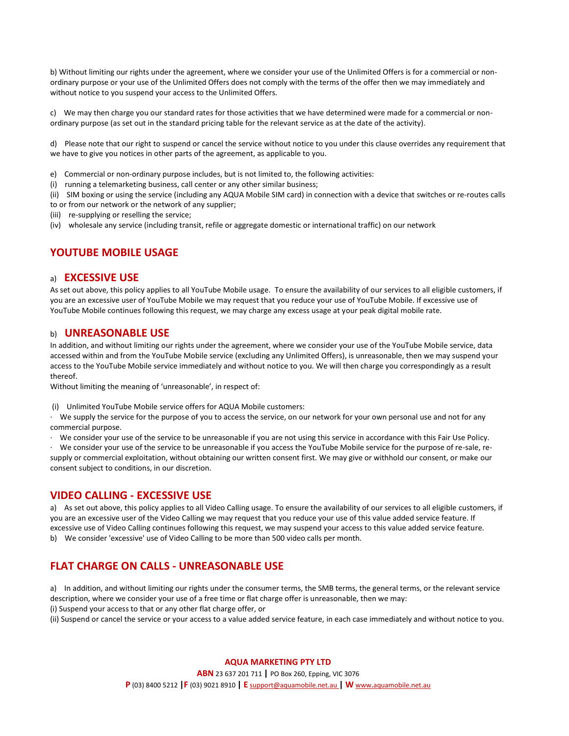b) Without limiting our rights under the agreement, where we consider your use of the Unlimited Offers is for a commercial or nonordinary purpose or your use of the Unlimited Offers does not comply with the terms of the offer then we may immediately and without notice to you suspend your access to the Unlimited Offers.

c) We may then charge you our standard rates for those activities that we have determined were made for a commercial or nonordinary purpose (as set out in the standard pricing table for the relevant service as at the date of the activity).

d) Please note that our right to suspend or cancel the service without notice to you under this clause overrides any requirement that we have to give you notices in other parts of the agreement, as applicable to you.

- e) Commercial or non-ordinary purpose includes, but is not limited to, the following activities:
- (i) running a telemarketing business, call center or any other similar business;

(ii) SIM boxing or using the service (including any AQUA Mobile SIM card) in connection with a device that switches or re-routes calls to or from our network or the network of any supplier;

- (iii) re-supplying or reselling the service;
- (iv) wholesale any service (including transit, refile or aggregate domestic or international traffic) on our network

## **YOUTUBE MOBILE USAGE**

#### a) **EXCESSIVE USE**

As set out above, this policy applies to all YouTube Mobile usage. To ensure the availability of our services to all eligible customers, if you are an excessive user of YouTube Mobile we may request that you reduce your use of YouTube Mobile. If excessive use of YouTube Mobile continues following this request, we may charge any excess usage at your peak digital mobile rate.

#### b) **UNREASONABLE USE**

In addition, and without limiting our rights under the agreement, where we consider your use of the YouTube Mobile service, data accessed within and from the YouTube Mobile service (excluding any Unlimited Offers), is unreasonable, then we may suspend your access to the YouTube Mobile service immediately and without notice to you. We will then charge you correspondingly as a result thereof.

Without limiting the meaning of 'unreasonable', in respect of:

(i) Unlimited YouTube Mobile service offers for AQUA Mobile customers:

· We supply the service for the purpose of you to access the service, on our network for your own personal use and not for any commercial purpose.

· We consider your use of the service to be unreasonable if you are not using this service in accordance with this Fair Use Policy.

· We consider your use of the service to be unreasonable if you access the YouTube Mobile service for the purpose of re-sale, resupply or commercial exploitation, without obtaining our written consent first. We may give or withhold our consent, or make our consent subject to conditions, in our discretion.

### **VIDEO CALLING - EXCESSIVE USE**

a) As set out above, this policy applies to all Video Calling usage. To ensure the availability of our services to all eligible customers, if you are an excessive user of the Video Calling we may request that you reduce your use of this value added service feature. If excessive use of Video Calling continues following this request, we may suspend your access to this value added service feature. b) We consider 'excessive' use of Video Calling to be more than 500 video calls per month.

# **FLAT CHARGE ON CALLS - UNREASONABLE USE**

a) In addition, and without limiting our rights under the consumer terms, the SMB terms, the general terms, or the relevant service description, where we consider your use of a free time or flat charge offer is unreasonable, then we may: (i) Suspend your access to that or any other flat charge offer, or

(ii) Suspend or cancel the service or your access to a value added service feature, in each case immediately and without notice to you.

#### **AQUA MARKETING PTY LTD**

**ABN** 23 637 201 711 **|** PO Box 260, Epping, VIC 3076

**P** (03) 8400 5212 **|F** (03) 9021 8910 **| E** [support@aquamobile.net.au](mailto:support@aquamobile.net.au) **| W** www**.**[aquamobile.net.au](http://www.aquamobile.net.au/)